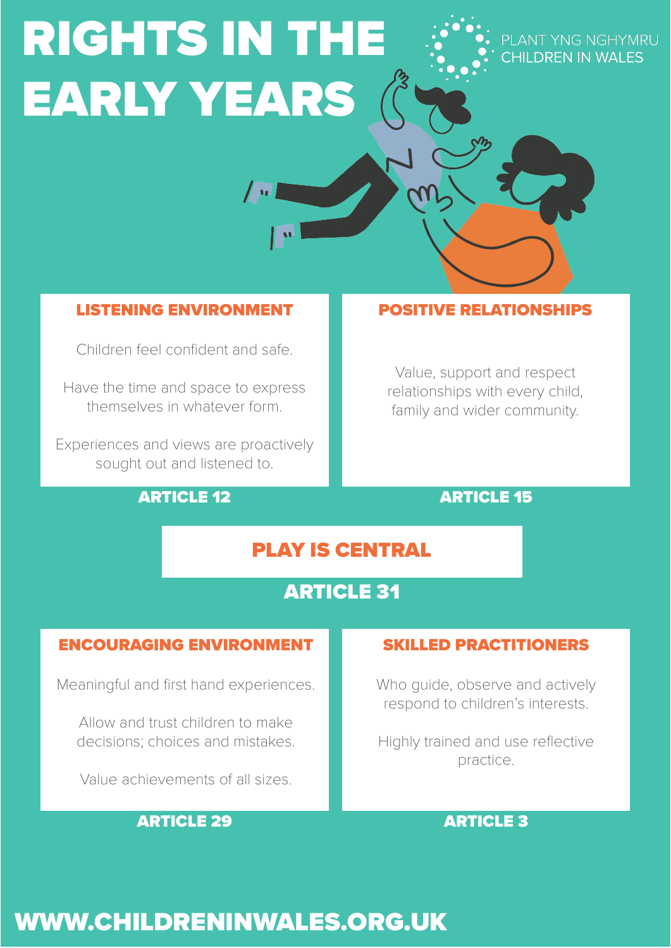# RIGHTS IN THE EARLY YEARS

PLANT YNG NGHYMRU CHII DREN IN WAI ES

### LISTENING ENVIRONMENT

Children feel confident and safe.

Have the time and space to express themselves in whatever form.

Experiences and views are proactively sought out and listened to.

#### ARTICLE 12

#### POSITIVE RELATIONSHIPS

Value, support and respect relationships with every child, family and wider community.

#### ARTICLE 15

## PLAY IS CENTRAL

## ARTICLE 31

#### ENCOURAGING ENVIRONMENT

Meaningful and first hand experiences.

Allow and trust children to make decisions; choices and mistakes.

Value achievements of all sizes.

#### ARTICLE 29

#### SKILLED PRACTITIONERS

Who quide, observe and actively respond to children's interests.

Highly trained and use reflective practice.

#### ARTICLE 3

# WWW.CHILDRENINWALES.ORG.UK